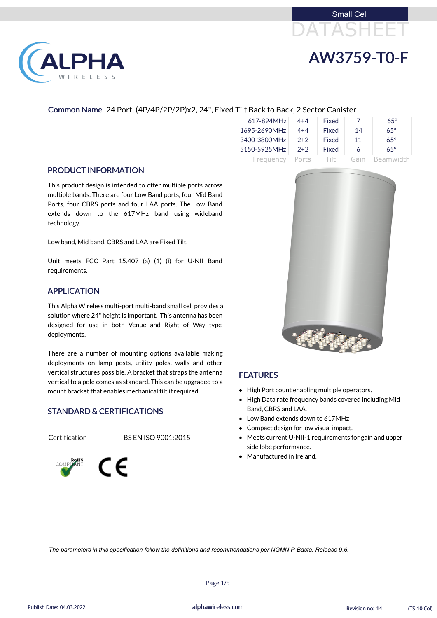



### Common Name 24 Port, (4P/4P/2P/2P)x2, 24", Fixed Tilt Back to Back, 2 Sector Canister

| 617-894MHz   | $4 + 4$ | Fixed        |      | $65^\circ$ |
|--------------|---------|--------------|------|------------|
| 1695-2690MHz | $4 + 4$ | <b>Fixed</b> | 14   | $65^\circ$ |
| 3400-3800MHz | $2+2$   | <b>Fixed</b> | 11   | $65^\circ$ |
| 5150-5925MHz | $2+2$   | Fixed        | 6    | $65^\circ$ |
| Frequency    | Ports   | -Tilt-       | Gain | Beamwidth  |

#### PRODUCT INFORMATION

LPHA

RELESS

This product design is intended to offer multiple ports across multiple bands. There are four Low Band ports, four Mid Band Ports, four CBRS ports and four LAA ports. The Low Band extends down to the 617MHz band using wideband technology.

Low band, Mid band, CBRS and LAA are Fixed Tilt.

Unit meets FCC Part 15.407 (a) (1) (i) for U-NII Band requirements.

#### APPLICATION

This Alpha Wireless multi-port multi-band small cell provides a solution where 24" height is important. This antenna has been designed for use in both Venue and Right of Way type deployments.

There are a number of mounting options available making deployments on lamp posts, utility poles, walls and other vertical structures possible. A bracket that straps the antenna vertical to a pole comes as standard. This can be upgraded to a mount bracket that enables mechanical tilt if required.

### STANDARD & CERTIFICATIONS

Certification BS EN ISO 9001:2015







### **FEATURES**

- High Port count enabling multiple operators.
- High Data rate frequency bands covered including Mid Band, CBRS and LAA.
- Low Band extends down to 617MHz
- Compact design for low visual impact.
- Meets current U-NII-1 requirements for gain and upper side lobe performance.
- Manufactured in Ireland.

Page 1/5

Publish Date: 04.03.2022 alphawireless.com Revision no: 14 (TS-10 Col)

*The parameters in this specification follow the definitions and recommendations per NGMN P-Basta, Release 9.6.*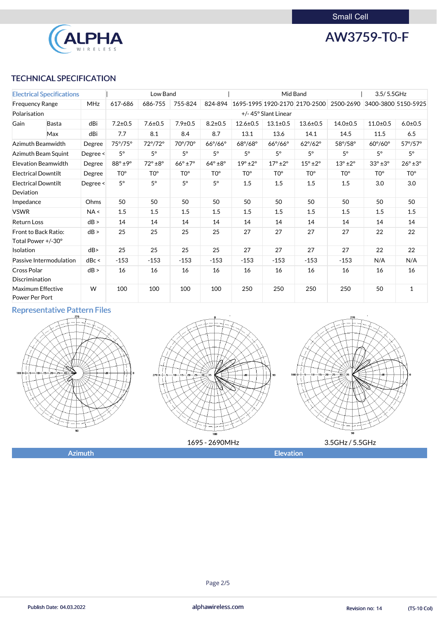

AW3759-T0-F

## TECHNICAL SPECIFICATION

| <b>Electrical Specifications</b>                  |                            | Low Band   |                        |                         | Mid Band               |                         |                        | 3.5/5.5GHz              |                               |                        |                        |                         |
|---------------------------------------------------|----------------------------|------------|------------------------|-------------------------|------------------------|-------------------------|------------------------|-------------------------|-------------------------------|------------------------|------------------------|-------------------------|
| <b>Frequency Range</b>                            |                            | <b>MHz</b> | 617-686                | 686-755                 | 755-824                | 824-894                 |                        |                         | 1695-1995 1920-2170 2170-2500 | 2500-2690              |                        | 3400-3800 5150-5925     |
| Polarisation                                      |                            |            |                        |                         |                        |                         |                        | +/-45° Slant Linear     |                               |                        |                        |                         |
| Gain<br><b>Basta</b><br>Max                       |                            | dBi        | $7.2 \pm 0.5$          | $7.6 \pm 0.5$           | $7.9 \pm 0.5$          | $8.2 \pm 0.5$           | $12.6 \pm 0.5$         | $13.1 \pm 0.5$          | $13.6 \pm 0.5$                | $14.0 \pm 0.5$         | $11.0 \pm 0.5$         | $6.0 + 0.5$             |
|                                                   |                            | dBi        | 7.7                    | 8.1                     | 8.4                    | 8.7                     | 13.1                   | 13.6                    | 14.1                          | 14.5                   | 11.5                   | 6.5                     |
|                                                   | Azimuth Beamwidth          | Degree     | 75°/75°                | $72^{\circ}/72^{\circ}$ | 70°/70°                | $66^{\circ}/66^{\circ}$ | 68°/68°                | $66^{\circ}/66^{\circ}$ | $62^{\circ}/62^{\circ}$       | 58°/58°                | $60^\circ/60^\circ$    | $57^{\circ}/57^{\circ}$ |
|                                                   | Azimuth Beam Squint        | Degree <   | $5^\circ$              | $5^\circ$               | $5^\circ$              | $5^\circ$               | $5^\circ$              | $5^\circ$               | $5^\circ$                     | $5^\circ$              | $5^\circ$              | $5^{\circ}$             |
|                                                   | <b>Elevation Beamwidth</b> | Degree     | $88^\circ \pm 9^\circ$ | $72^\circ \pm 8^\circ$  | $66^\circ \pm 7^\circ$ | $64^\circ \pm 8^\circ$  | $19^\circ \pm 2^\circ$ | $17^\circ \pm 2^\circ$  | $15^\circ \pm 2^\circ$        | $13^\circ \pm 2^\circ$ | $33^\circ \pm 3^\circ$ | $26^\circ \pm 3^\circ$  |
| <b>Electrical Downtilt</b>                        |                            | Degree     | TO <sup>o</sup>        | TO <sup>o</sup>         | TO <sup>o</sup>        | TO <sup>o</sup>         | TO <sup>o</sup>        | TO <sup>o</sup>         | TO <sup>o</sup>               | TO <sup>o</sup>        | TO <sup>o</sup>        | TO <sup>o</sup>         |
| <b>Electrical Downtilt</b><br>Deviation           |                            | Degree <   | $5^\circ$              | $5^\circ$               | $5^\circ$              | $5^\circ$               | 1.5                    | 1.5                     | 1.5                           | 1.5                    | 3.0                    | 3.0                     |
| Impedance                                         |                            | Ohms       | 50                     | 50                      | 50                     | 50                      | 50                     | 50                      | 50                            | 50                     | 50                     | 50                      |
| <b>VSWR</b>                                       |                            | NA <       | 1.5                    | 1.5                     | 1.5                    | 1.5                     | 1.5                    | 1.5                     | 1.5                           | 1.5                    | 1.5                    | 1.5                     |
| <b>Return Loss</b>                                |                            | dB >       | 14                     | 14                      | 14                     | 14                      | 14                     | 14                      | 14                            | 14                     | 14                     | 14                      |
| <b>Front to Back Ratio:</b><br>Total Power +/-30° |                            | dB >       | 25                     | 25                      | 25                     | 25                      | 27                     | 27                      | 27                            | 27                     | 22                     | 22                      |
| Isolation                                         |                            | dB         | 25                     | 25                      | 25                     | 25                      | 27                     | 27                      | 27                            | 27                     | 22                     | 22                      |
|                                                   | Passive Intermodulation    | dBc <      | $-153$                 | $-153$                  | $-153$                 | $-153$                  | $-153$                 | $-153$                  | $-153$                        | $-153$                 | N/A                    | N/A                     |
| <b>Cross Polar</b><br>Discrimination              |                            | dB >       | 16                     | 16                      | 16                     | 16                      | 16                     | 16                      | 16                            | 16                     | 16                     | 16                      |
| Maximum Effective<br>Power Per Port               |                            | W          | 100                    | 100                     | 100                    | 100                     | 250                    | 250                     | 250                           | 250                    | 50                     | $\mathbf{1}$            |

## Representative Pattern Files







#### Page 2/5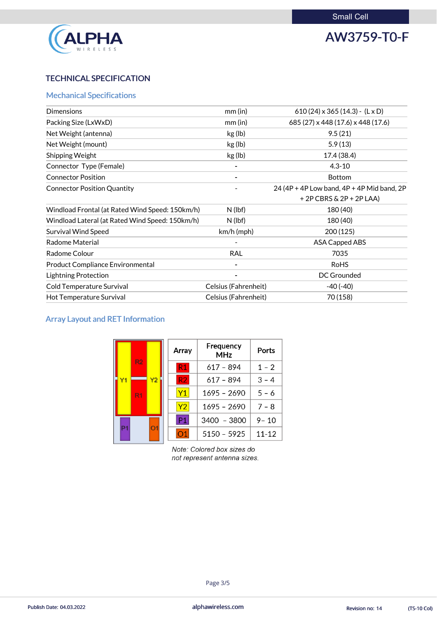

# AW3759-T0-F

## TECHNICAL SPECIFICATION

## Mechanical Specifications

| $mm$ (in)                   | 610 (24) $\times$ 365 (14.3) - (L $\times$ D) |
|-----------------------------|-----------------------------------------------|
| $mm$ (in)                   | 685 (27) x 448 (17.6) x 448 (17.6)            |
| kg (lb)                     | 9.5(21)                                       |
| kg (lb)                     | 5.9(13)                                       |
| kg (lb)                     | 17.4 (38.4)                                   |
|                             | $4.3 - 10$                                    |
|                             | <b>Bottom</b>                                 |
|                             | 24 (4P + 4P Low band, $4P + 4P$ Mid band, 2P  |
|                             | $+2P$ CBRS & 2P + 2P LAA)                     |
| $N$ (lbf)                   | 180 (40)                                      |
| $N$ (lbf)                   | 180 (40)                                      |
| $km/h$ (mph)                | 200 (125)                                     |
|                             | <b>ASA Capped ABS</b>                         |
| <b>RAL</b>                  | 7035                                          |
|                             | <b>RoHS</b>                                   |
|                             | <b>DC Grounded</b>                            |
| Celsius (Fahrenheit)        | $-40(-40)$                                    |
| <b>Celsius (Fahrenheit)</b> | 70 (158)                                      |
|                             |                                               |

## Array Layout and RET Information

| R <sub>2</sub>       | Array          | Frequency<br><b>MHz</b> | <b>Ports</b>   |               |          |
|----------------------|----------------|-------------------------|----------------|---------------|----------|
|                      |                | R <sub>1</sub>          | $617 - 894$    | $1 - 2$       |          |
| Y1                   |                | Y <sub>2</sub>          | R <sub>2</sub> | $617 - 894$   | $3 - 4$  |
|                      | R <sub>1</sub> |                         | Y1             | $1695 - 2690$ | $5 - 6$  |
|                      |                |                         | Y <sub>2</sub> | $1695 - 2690$ | $7 - 8$  |
| O <sub>1</sub><br>P1 |                |                         | P <sub>1</sub> | 3400 - 3800   | $9 - 10$ |
|                      |                | O <sub>1</sub>          | $5150 - 5925$  | $11 - 12$     |          |

Note: Colored box sizes do not represent antenna sizes.

#### Page 3/5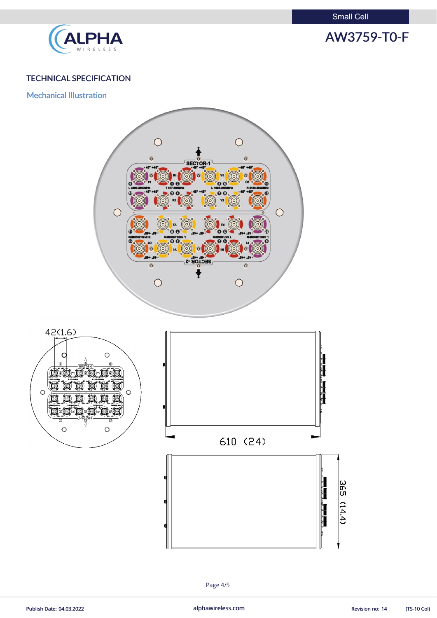Small Cell



# AW3759-T0-F

## TECHNICAL SPECIFICATION

Mechanical Illustration







Page 4/5

Publish Date: 04.03.2022 **alphawireless.com** alphawireless.com Revision no: 14 (TS-10 Col)